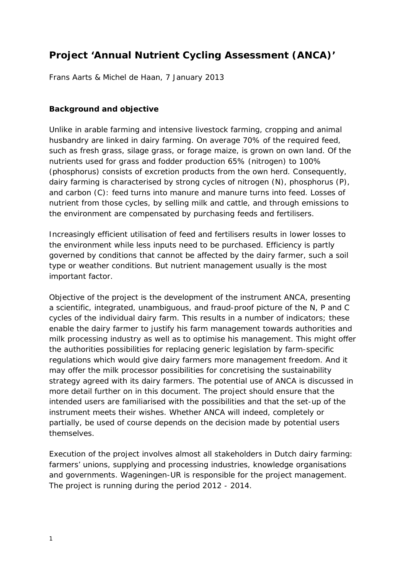# **Project 'Annual Nutrient Cycling Assessment (ANCA)'**

Frans Aarts & Michel de Haan, 7 January 2013

#### **Background and objective**

Unlike in arable farming and intensive livestock farming, cropping and animal husbandry are linked in dairy farming. On average 70% of the required feed, such as fresh grass, silage grass, or forage maize, is grown on own land. Of the nutrients used for grass and fodder production 65% (nitrogen) to 100% (phosphorus) consists of excretion products from the own herd. Consequently, dairy farming is characterised by strong cycles of nitrogen (N), phosphorus (P), and carbon (C): feed turns into manure and manure turns into feed. Losses of nutrient from those cycles, by selling milk and cattle, and through emissions to the environment are compensated by purchasing feeds and fertilisers.

Increasingly efficient utilisation of feed and fertilisers results in lower losses to the environment while less inputs need to be purchased. Efficiency is partly governed by conditions that cannot be affected by the dairy farmer, such a soil type or weather conditions. But nutrient management usually is the most important factor.

Objective of the project is the development of the instrument ANCA, presenting a scientific, integrated, unambiguous, and fraud-proof picture of the N, P and C cycles of the individual dairy farm. This results in a number of indicators; these enable the dairy farmer to justify his farm management towards authorities and milk processing industry as well as to optimise his management. This might offer the authorities possibilities for replacing generic legislation by farm-specific regulations which would give dairy farmers more management freedom. And it may offer the milk processor possibilities for concretising the sustainability strategy agreed with its dairy farmers. The potential use of ANCA is discussed in more detail further on in this document. The project should ensure that the intended users are familiarised with the possibilities and that the set-up of the instrument meets their wishes. Whether ANCA will indeed, completely or partially, be used of course depends on the decision made by potential users themselves.

Execution of the project involves almost all stakeholders in Dutch dairy farming: farmers' unions, supplying and processing industries, knowledge organisations and governments. Wageningen-UR is responsible for the project management. The project is running during the period 2012 - 2014.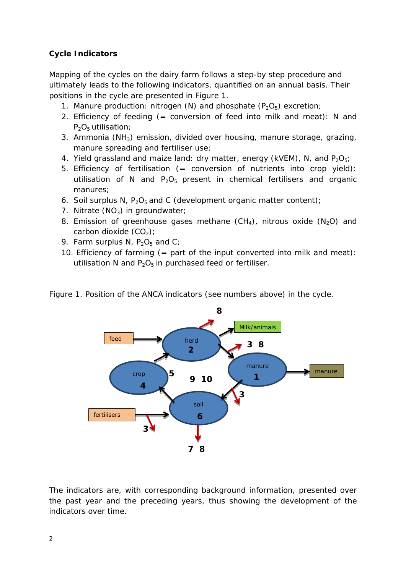# **Cycle Indicators**

Mapping of the cycles on the dairy farm follows a step-by step procedure and ultimately leads to the following indicators, quantified on an annual basis. Their positions in the cycle are presented in Figure 1.

- 1. Manure production: nitrogen (N) and phosphate  $(P_2O_5)$  excretion;
- 2. Efficiency of feeding (= conversion of feed into milk and meat): N and  $P_2O_5$  utilisation;
- 3. Ammonia (NH3) emission, divided over housing, manure storage, grazing, manure spreading and fertiliser use;
- 4. Yield grassland and maize land: dry matter, energy (kVEM), N, and  $P_2O_5$ ;
- 5. Efficiency of fertilisation (= conversion of nutrients into crop yield): utilisation of N and  $P_2O_5$  present in chemical fertilisers and organic manures;
- 6. Soil surplus N,  $P_2O_5$  and C (development organic matter content);
- 7. Nitrate  $(NO<sub>3</sub>)$  in groundwater;
- 8. Emission of greenhouse gases methane  $(CH_4)$ , nitrous oxide  $(N_2O)$  and carbon dioxide  $(CO<sub>2</sub>)$ ;
- 9. Farm surplus N,  $P_2O_5$  and C;
- 10. Efficiency of farming  $(=$  part of the input converted into milk and meat): utilisation N and  $P_2O_5$  in purchased feed or fertiliser.



Figure 1. Position of the ANCA indicators (see numbers above) in the cycle.

The indicators are, with corresponding background information, presented over the past year and the preceding years, thus showing the development of the indicators over time.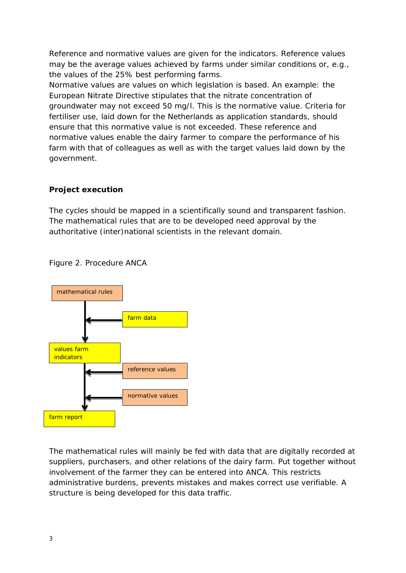Reference and normative values are given for the indicators. Reference values may be the average values achieved by farms under similar conditions or, e.g., the values of the 25% best performing farms.

Normative values are values on which legislation is based. An example: the European Nitrate Directive stipulates that the nitrate concentration of groundwater may not exceed 50 mg/l. This is the normative value. Criteria for fertiliser use, laid down for the Netherlands as application standards, should ensure that this normative value is not exceeded. These reference and normative values enable the dairy farmer to compare the performance of his farm with that of colleagues as well as with the target values laid down by the government.

## **Project execution**

The cycles should be mapped in a scientifically sound and transparent fashion. The mathematical rules that are to be developed need approval by the authoritative (inter)national scientists in the relevant domain.



Figure 2. Procedure ANCA

The mathematical rules will mainly be fed with data that are digitally recorded at suppliers, purchasers, and other relations of the dairy farm. Put together without involvement of the farmer they can be entered into ANCA. This restricts administrative burdens, prevents mistakes and makes correct use verifiable. A structure is being developed for this data traffic.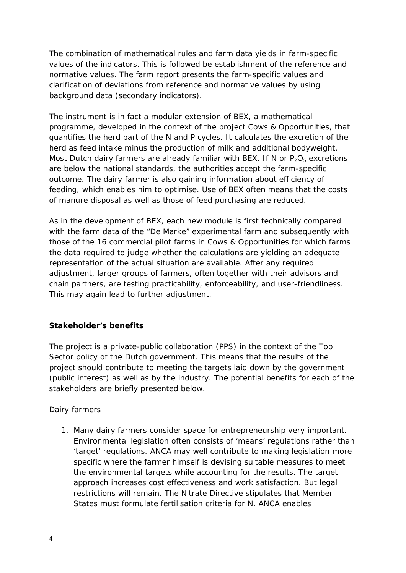The combination of mathematical rules and farm data yields in farm-specific values of the indicators. This is followed be establishment of the reference and normative values. The farm report presents the farm-specific values and clarification of deviations from reference and normative values by using background data (secondary indicators).

The instrument is in fact a modular extension of BEX, a mathematical programme, developed in the context of the project Cows & Opportunities, that quantifies the herd part of the N and P cycles. It calculates the excretion of the herd as feed intake minus the production of milk and additional bodyweight. Most Dutch dairy farmers are already familiar with BEX. If N or  $P_2O_5$  excretions are below the national standards, the authorities accept the farm-specific outcome. The dairy farmer is also gaining information about efficiency of feeding, which enables him to optimise. Use of BEX often means that the costs of manure disposal as well as those of feed purchasing are reduced.

As in the development of BEX, each new module is first technically compared with the farm data of the "De Marke" experimental farm and subsequently with those of the 16 commercial pilot farms in Cows & Opportunities for which farms the data required to judge whether the calculations are yielding an adequate representation of the actual situation are available. After any required adjustment, larger groups of farmers, often together with their advisors and chain partners, are testing practicability, enforceability, and user-friendliness. This may again lead to further adjustment.

# **Stakeholder's benefits**

The project is a private-public collaboration (PPS) in the context of the Top Sector policy of the Dutch government. This means that the results of the project should contribute to meeting the targets laid down by the government (public interest) as well as by the industry. The potential benefits for each of the stakeholders are briefly presented below.

#### Dairy farmers

1. Many dairy farmers consider space for entrepreneurship very important. Environmental legislation often consists of 'means' regulations rather than 'target' regulations. ANCA may well contribute to making legislation more specific where the farmer himself is devising suitable measures to meet the environmental targets while accounting for the results. The target approach increases cost effectiveness and work satisfaction. But legal restrictions will remain. The Nitrate Directive stipulates that Member States must formulate fertilisation criteria for N. ANCA enables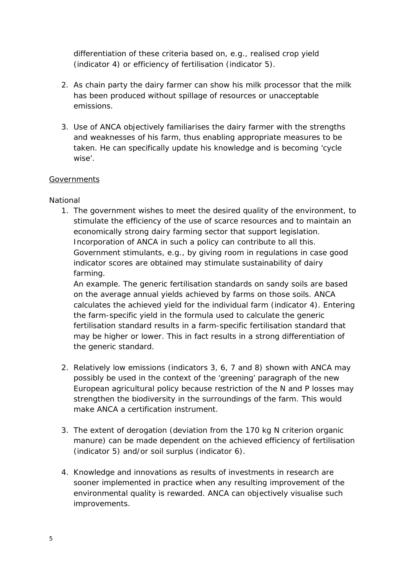differentiation of these criteria based on, e.g., realised crop yield (indicator 4) or efficiency of fertilisation (indicator 5).

- 2. As chain party the dairy farmer can show his milk processor that the milk has been produced without spillage of resources or unacceptable emissions.
- 3. Use of ANCA objectively familiarises the dairy farmer with the strengths and weaknesses of his farm, thus enabling appropriate measures to be taken. He can specifically update his knowledge and is becoming 'cycle wise'.

## **Governments**

#### *National*

1. The government wishes to meet the desired quality of the environment, to stimulate the efficiency of the use of scarce resources and to maintain an economically strong dairy farming sector that support legislation. Incorporation of ANCA in such a policy can contribute to all this. Government stimulants, e.g., by giving room in regulations in case good indicator scores are obtained may stimulate sustainability of dairy farming.

An example. The generic fertilisation standards on sandy soils are based on the average annual yields achieved by farms on those soils. ANCA calculates the achieved yield for the individual farm (indicator 4). Entering the farm-specific yield in the formula used to calculate the generic fertilisation standard results in a farm-specific fertilisation standard that may be higher or lower. This in fact results in a strong differentiation of the generic standard.

- 2. Relatively low emissions (indicators 3, 6, 7 and 8) shown with ANCA may possibly be used in the context of the 'greening' paragraph of the new European agricultural policy because restriction of the N and P losses may strengthen the biodiversity in the surroundings of the farm. This would make ANCA a certification instrument.
- 3. The extent of derogation (deviation from the 170 kg N criterion organic manure) can be made dependent on the achieved efficiency of fertilisation (indicator 5) and/or soil surplus (indicator 6).
- 4. Knowledge and innovations as results of investments in research are sooner implemented in practice when any resulting improvement of the environmental quality is rewarded. ANCA can objectively visualise such improvements.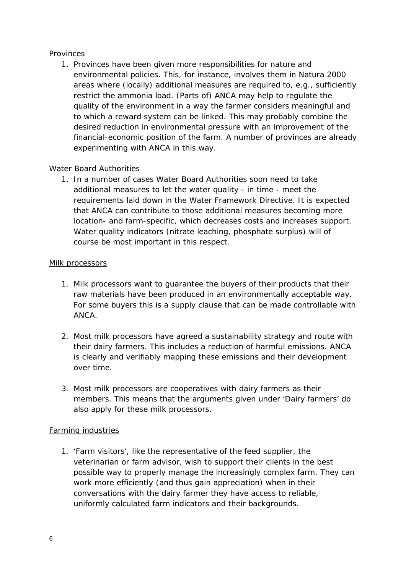## *Provinces*

1. Provinces have been given more responsibilities for nature and environmental policies. This, for instance, involves them in Natura 2000 areas where (locally) additional measures are required to, e.g., sufficiently restrict the ammonia load. (Parts of) ANCA may help to regulate the quality of the environment in a way the farmer considers meaningful and to which a reward system can be linked. This may probably combine the desired reduction in environmental pressure with an improvement of the financial-economic position of the farm. A number of provinces are already experimenting with ANCA in this way.

## *Water Board Authorities*

1. In a number of cases Water Board Authorities soon need to take additional measures to let the water quality - in time - meet the requirements laid down in the Water Framework Directive. It is expected that ANCA can contribute to those additional measures becoming more location- and farm-specific, which decreases costs and increases support. Water quality indicators (nitrate leaching, phosphate surplus) will of course be most important in this respect.

#### Milk processors

- 1. Milk processors want to guarantee the buyers of their products that their raw materials have been produced in an environmentally acceptable way. For some buyers this is a supply clause that can be made controllable with ANCA.
- 2. Most milk processors have agreed a sustainability strategy and route with their dairy farmers. This includes a reduction of harmful emissions. ANCA is clearly and verifiably mapping these emissions and their development over time.
- 3. Most milk processors are cooperatives with dairy farmers as their members. This means that the arguments given under 'Dairy farmers' do also apply for these milk processors.

#### Farming industries

1. 'Farm visitors', like the representative of the feed supplier, the veterinarian or farm advisor, wish to support their clients in the best possible way to properly manage the increasingly complex farm. They can work more efficiently (and thus gain appreciation) when in their conversations with the dairy farmer they have access to reliable, uniformly calculated farm indicators and their backgrounds.